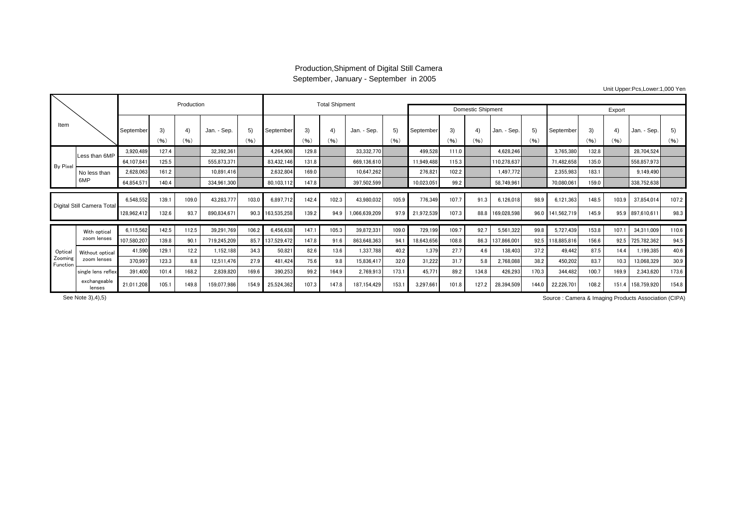## Production,Shipment of Digital Still Camera September, January - September in 2005

|                            |                             |             |            | Production |             |            |             | <b>Total Shipment</b> |       |               |            |                          |            |            |             |            |                  |            |            |                   |            |
|----------------------------|-----------------------------|-------------|------------|------------|-------------|------------|-------------|-----------------------|-------|---------------|------------|--------------------------|------------|------------|-------------|------------|------------------|------------|------------|-------------------|------------|
|                            |                             |             |            |            |             |            |             |                       |       |               |            | <b>Domestic Shipment</b> |            |            | Export      |            |                  |            |            |                   |            |
| Item                       |                             | September   | 3)<br>(96) | 4)<br>(96) | Jan. - Sep. | 5)<br>(96) | September   | 3)<br>(96)            | (96)  | Jan. - Sep.   | 5)<br>(96) | September                | 3)<br>(96) | 4)<br>(96) | Jan. - Sep. | 5)<br>(96) | September        | 3)<br>(96) | 4)<br>(96) | Jan. - Sep.       | 5)<br>(96) |
|                            | Less than 6MP               | 3,920,489   | 127.4      |            | 32.392.361  |            | 4.264.908   | 129.8                 |       | 33.332.770    |            | 499,528                  | 111.0      |            | 4.628.246   |            | 3,765,380        | 132.8      |            | 28.704.524        |            |
| By Pixel                   |                             | 64.107.841  | 125.5      |            | 555,873,371 |            | 83.432.146  | 131.8                 |       | 669.136.610   |            | 11,949,488               | 115.3      |            | 110,278,637 |            | 71,482,658       | 135.0      |            | 558,857,973       |            |
|                            | No less than<br>6MP         | 2,628,063   | 161.2      |            | 10.891.416  |            | 2,632,804   | 169.0                 |       | 10.647.262    |            | 276,821                  | 102.2      |            | 1.497.772   |            | 2,355,983        | 183.1      |            | 9.149.490         |            |
|                            |                             | 64,854,571  | 140.4      |            | 334,961,300 |            | 80,103,112  | 147.8                 |       | 397,502,599   |            | 10,023,051               | 99.2       |            | 58.749.961  |            | 70,080,061       | 159.0      |            | 338,752,638       |            |
|                            |                             |             |            |            |             |            |             |                       |       |               |            |                          |            |            |             |            |                  |            |            |                   |            |
| Digital Still Camera Total |                             | 6.548.552   | 139.1      | 109.0      | 43,283,777  | 103.0      | 6.897.712   | 142.4                 | 102.3 | 43.980.032    | 105.9      | 776,349                  | 107.7      | 91.3       | 6,126,018   | 98.9       | 6,121,363        | 148.5      | 103.9      | 37,854,014        | 107.2      |
|                            |                             | 128,962,412 | 132.6      | 93.7       | 890.834.671 | 90.3       | 163,535,258 | 139.2                 | 94.9  | 1,066,639,209 | 97.9       | 21,972,539               | 107.3      | 88.8       | 169,028,598 | 96.0       | 141.562.719      | 145.9      |            | 95.9 897,610,61   | 98.3       |
|                            | With optical<br>zoom lenses | 6,115,562   | 142.5      | 112.5      | 39,291,769  | 106.2      | 6,456,638   | 147.1                 | 105.3 | 39,872,331    | 109.0      | 729,199                  | 109.7      | 92.7       | 5,561,322   | 99.8       | 5,727,439        | 153.8      | 107.1      | 34,311,009        | 110.6      |
|                            |                             | 107,580,207 | 139.8      | 90.1       | 719.245.209 | 85.7       | 137,529,472 | 147.8                 | 91.6  | 863.648.363   | 94.        | 18,643,656               | 108.8      | 86.3       | 137,866,001 |            | 92.5 118.885.816 | 156.6      | 92.5       | 725,782,362       | 94.5       |
| Optical                    | Without optical             | 41,590      | 129.1      | 12.2       | 1.152.188   | 34.3       | 50.821      | 82.6                  | 13.6  | 1.337.788     | 40.2       | 1.379                    | 27.7       | 4.6        | 138,403     | 37.2       | 49.442           | 87.5       | 14.4       | 1.199.385         | 40.6       |
| Zooming<br>Function        | zoom lenses                 | 370,997     | 123.3      | 8.8        | 12.511.476  | 27.9       | 481.424     | 75.6                  | 9.8   | 15.836.41     | 32.0       | 31,222                   | 31.7       | 5.8        | 2,768,088   | 38.2       | 450,202          | 83.7       | 10.3       | 13,068,329        | 30.9       |
|                            | single lens reflex          | 391.400     | 101.4      | 168.2      | 2,839,820   | 169.6      | 390,253     | 99.2                  | 164.9 | 2,769,913     | 173.1      | 45,771                   | 89.2       | 134.8      | 426,293     | 170.3      | 344.482          | 100.7      | 169.9      | 2,343,620         | 173.6      |
|                            | exchangeable<br>lenses      | 21,011,208  | 105.1      | 149.8      | 159,077,986 | 154.9      | 25,524,362  | 107.3                 | 147.8 | 187,154,429   | 153.       | 3,297,661                | 101.8      | 127.2      | 28,394,509  | 144.0      | 22,226,701       | 108.2      |            | 151.4 158,759,920 | 154.8      |

Unit Upper:Pcs,Lower:1,000 Yen

Source : Camera & Imaging Products Association (CIPA) Source : Camera & Imaging Products Association (CIPA)